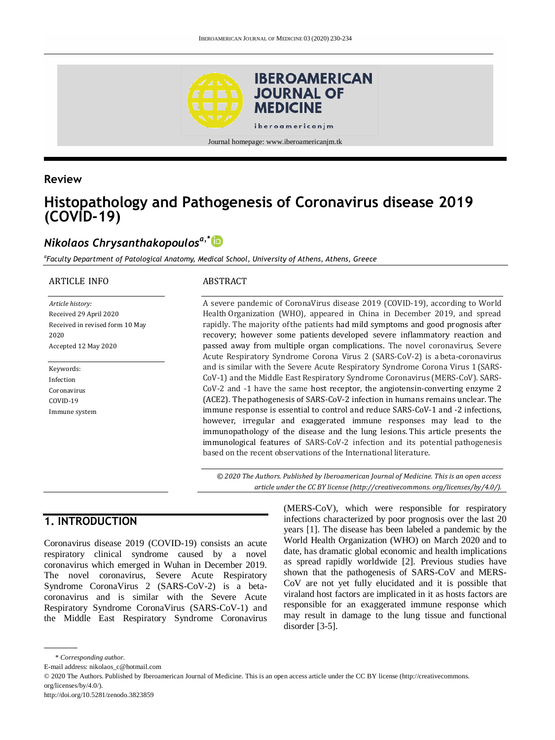

**Review**

# **Histopathology and Pathogenesis of Coronavirus disease 2019 (COVID-19)**

## *Nikolaos Chrysanthakopoulosa,\**

*a Faculty Department of Patological Anatomy, Medical School, University of Athens, Athens, Greece*

#### ARTICLE INFO

*Article history:* Received 29 April 2020 Received in revised form 10 May 2020 Accepted 12 May 2020

Keywords: Infection Coronavirus COVID-19 Immune system

#### ABSTRACT

A severe pandemic of CoronaVirus disease 2019 (COVID-19), according to World Health Organization (WHO), appeared in China in December 2019, and spread rapidly. The majority ofthe patients had mild symptoms and good prognosis after recovery; however some patients developed severe inflammatory reaction and passed away from multiple organ complications. The novel coronavirus, Severe Acute Respiratory Syndrome Corona Virus 2 (SARS-CoV-2) is a beta-coronavirus and is similar with the Severe Acute Respiratory Syndrome Corona Virus 1(SARS-CoV-1) and the Middle East Respiratory Syndrome Coronavirus (MERS-CoV). SARS-CoV-2 and -1 have the same host receptor, the angiotensin-converting enzyme 2 (ACE2). The pathogenesis of SARS-CoV-2 infection in humans remains unclear. The immune response is essential to control and reduce SARS-CoV-1 and -2 infections, however, irregular and exaggerated immune responses may lead to the immunopathology of the disease and the lung lesions. This article presents the immunological features of SARS-CoV-2 infection and its potential pathogenesis based on the recent observations of the International literature.

*© 2020 The Authors. Published by Iberoamerican Journal of Medicine. This is an open access article under the CC BY license (http:/[/creativecommons. org/licenses/by/4.0/\)](https://creativecommons.org/licenses/by/4.0/).*

## **1. INTRODUCTION**

Coronavirus disease 2019 (COVID-19) consists an acute respiratory clinical syndrome caused by a novel coronavirus which emerged in Wuhan in December 2019. The novel coronavirus, Severe Acute Respiratory Syndrome CoronaVirus 2 (SARS-CoV-2) is a betacoronavirus and is similar with the Severe Acute Respiratory Syndrome CoronaVirus (SARS-CoV-1) and the Middle East Respiratory Syndrome Coronavirus (MERS-CoV), which were responsible for respiratory infections characterized by poor prognosis over the last 20 years [1]. The disease has been labeled a pandemic by the World Health Organization (WHO) on March 2020 and to date, has dramatic global economic and health implications as spread rapidly worldwide [2]. Previous studies have shown that the pathogenesis of SARS-CoV and MERS-CoV are not yet fully elucidated and it is possible that viraland host factors are implicated in it as hosts factors are responsible for an exaggerated immune response which may result in damage to the lung tissue and functional disorder [3-5].

<sup>\*</sup> *Corresponding author.*

E-mail address: nikolaos\_c@hotmail.com

<sup>© 2020</sup> The Authors. Published by Iberoamerican Journal of Medicine. This is an open access article under the CC BY license (http://creativecommons. org/licenses/by/4.0/).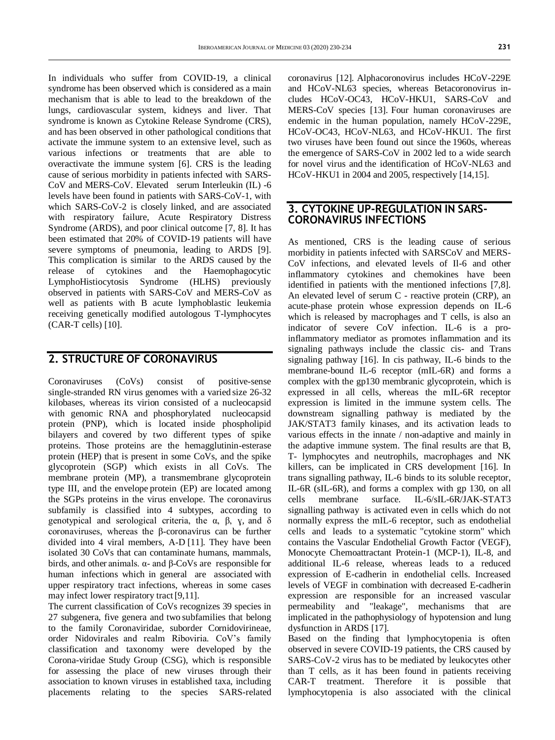In individuals who suffer from COVID-19, a clinical syndrome has been observed which is considered as a main mechanism that is able to lead to the breakdown of the lungs, cardiovascular system, kidneys and liver. That syndrome is known as Cytokine Release Syndrome (CRS), and has been observed in other pathological conditions that activate the immune system to an extensive level, such as various infections or treatments that are able to overactivate the immune system [6]. CRS is the leading cause of serious morbidity in patients infected with SARS-CoV and MERS-CoV. Elevated serum Interleukin (IL) -6 levels have been found in patients with SARS-CoV-1, with which SARS-CoV-2 is closely linked, and are associated with respiratory failure, Acute Respiratory Distress Syndrome (ARDS), and poor clinical outcome [7, 8]. It has been estimated that 20% of COVID-19 patients will have severe symptoms of pneumonia, leading to ARDS [9]. This complication is similar to the ARDS caused by the release of cytokines and the Haemophagocytic LymphoHistiocytosis Syndrome (HLHS) previously observed in patients with SARS-CoV and MERS-CoV as well as patients with B acute lymphoblastic leukemia receiving genetically modified autologous T-lymphocytes (CAR-T cells) [10].

## **2. STRUCTURE OF CORONAVIRUS**

Coronaviruses (CoVs) consist of positive-sense single‐stranded RN virus genomes with a varied size 26-32 kilobases, whereas its virion consisted of a nucleocapsid with genomic RNA and phosphorylated nucleocapsid protein (PNP), which is located inside phospholipid bilayers and covered by two different types of spike proteins. Those proteins are the hemagglutinin‐esterase protein (HEP) that is present in some CoVs, and the spike glycoprotein (SGP) which exists in all CoVs. The membrane protein (MP), a transmembrane glycoprotein type III, and the envelope protein (EP) are located among the SGPs proteins in the virus envelope. The coronavirus subfamily is classified into 4 subtypes, according to genotypical and serological criteria, the α, β, ɣ, and δ coronaviruses, whereas the β‐coronavirus can be further divided into 4 viral members, A‐D [11]. They have been isolated 30 CoVs that can contaminate humans, mammals, birds, and other animals. α‐ and β‐CoVs are responsible for human infections which in general are associated with upper respiratory tract infections, whereas in some cases may infect lower respiratory tract [9,11].

The current classification of CoVs recognizes 39 species in 27 subgenera, five genera and two subfamilies that belong to the family Coronaviridae, suborder Cornidovirineae, order Nidovirales and realm Riboviria. CoV's family classification and taxonomy were developed by the Corona-viridae Study Group (CSG), which is responsible for assessing the place of new viruses through their association to known viruses in established taxa, including placements relating to the species SARS-related

coronavirus [12]. Alphacoronovirus includes HCoV-229E and HCoV-NL63 species, whereas Betacoronovirus includes HCoV-OC43, HCoV-HKU1, SARS-CoV and MERS-CoV species [13]. Four human coronaviruses are endemic in the human population, namely HCoV-229E, HCoV-OC43, HCoV-NL63, and HCoV-HKU1. The first two viruses have been found out since the 1960s, whereas the emergence of SARS-CoV in 2002 led to a wide search for novel virus and the identification of HCoV-NL63 and HCoV-HKU1 in 2004 and 2005, respectively [14,15].

#### **3. CYTOKINE UP-REGULATION IN SARS-CORONAVIRUS INFECTIONS**

As mentioned, CRS is the leading cause of serious morbidity in patients infected with SARSCoV and MERS-CoV infections, and elevated levels of Il-6 and other inflammatory cytokines and chemokines have been identified in patients with the mentioned infections [7,8]. An elevated level of serum C - reactive protein (CRP), an acute-phase protein whose expression depends on IL-6 which is released by macrophages and T cells, is also an indicator of severe CoV infection. IL-6 is a proinflammatory mediator as promotes inflammation and its signaling pathways include the classic cis- and Trans signaling pathway [16]. In cis pathway, IL-6 binds to the membrane-bound IL-6 receptor (mIL-6R) and forms a complex with the gp130 membranic glycoprotein, which is expressed in all cells, whereas the mIL-6R receptor expression is limited in the immune system cells. The downstream signalling pathway is mediated by the JAK/STAT3 family kinases, and its activation leads to various effects in the innate / non-adaptive and mainly in the adaptive immune system. The final results are that B, T- lymphocytes and neutrophils, macrophages and NK killers, can be implicated in CRS development [16]. In trans signalling pathway, IL-6 binds to its soluble receptor, IL-6R (sIL-6R), and forms a complex with gp 130, on all cells membrane surface. IL-6/sIL-6R/JAK-STAT3 signalling pathway is activated even in cells which do not normally express the mIL-6 receptor, such as endothelial cells and leads to a systematic "cytokine storm" which contains the Vascular Endothelial Growth Factor (VEGF), Monocyte Chemoattractant Protein-1 (MCP-1), IL-8, and additional IL-6 release, whereas leads to a reduced expression of E-cadherin in endothelial cells. Increased levels of VEGF in combination with decreased E-cadherin expression are responsible for an increased vascular permeability and "leakage", mechanisms that are implicated in the pathophysiology of hypotension and lung dysfunction in ARDS [17].

Based on the finding that lymphocytopenia is often observed in severe COVID-19 patients, the CRS caused by SARS-CoV-2 virus has to be mediated by leukocytes other than T cells, as it has been found in patients receiving CAR-T treatment. Therefore it is possible that lymphocytopenia is also associated with the clinical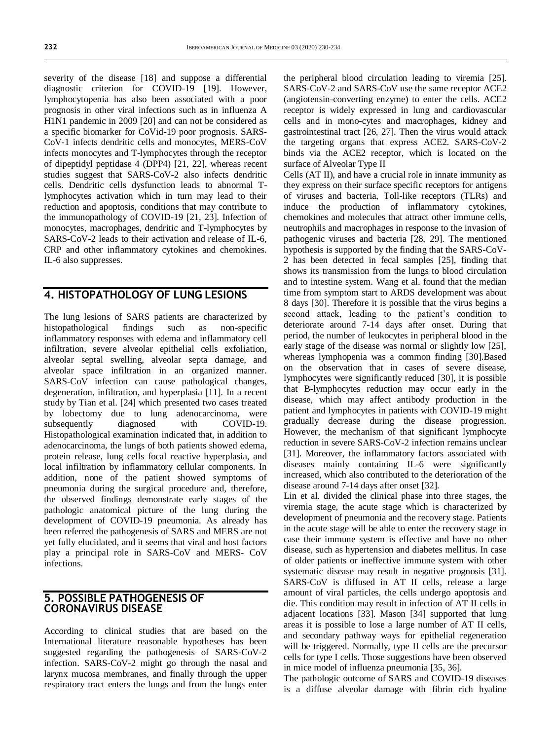severity of the disease [18] and suppose a differential diagnostic criterion for COVID-19 [19]. However, lymphocytopenia has also been associated with a poor prognosis in other viral infections such as in influenza A H1N1 pandemic in 2009 [20] and can not be considered as a specific biomarker for CoVid-19 poor prognosis. SARS-CoV-1 infects dendritic cells and monocytes, MERS-CoV infects monocytes and T-lymphocytes through the receptor of dipeptidyl peptidase 4 (DPP4) [21, 22], whereas recent studies suggest that SARS-CoV-2 also infects dendritic cells. Dendritic cells dysfunction leads to abnormal Tlymphocytes activation which in turn may lead to their reduction and apoptosis, conditions that may contribute to the immunopathology of COVID-19 [21, 23]. Infection of monocytes, macrophages, dendritic and T-lymphocytes by SARS-CoV-2 leads to their activation and release of IL-6, CRP and other inflammatory cytokines and chemokines. IL-6 also suppresses.

### **4. HISTOPATHOLOGY OF LUNG LESIONS**

The lung lesions of SARS patients are characterized by histopathological findings such as non-specific inflammatory responses with edema and inflammatory cell infiltration, severe alveolar epithelial cells exfoliation, alveolar septal swelling, alveolar septa damage, and alveolar space infiltration in an organized manner. SARS-CoV infection can cause pathological changes, degeneration, infiltration, and hyperplasia [11]. In a recent study by Tian et al. [24] which presented two cases treated by lobectomy due to lung adenocarcinoma, were subsequently diagnosed with COVID-19. Histopathological examination indicated that, in addition to adenocarcinoma, the lungs of both patients showed edema, protein release, lung cells focal reactive hyperplasia, and local infiltration by inflammatory cellular components. In addition, none of the patient showed symptoms of pneumonia during the surgical procedure and, therefore, the observed findings demonstrate early stages of the pathologic anatomical picture of the lung during the development of COVID-19 pneumonia. As already has been referred the pathogenesis of SARS and MERS are not yet fully elucidated, and it seems that viral and host factors play a principal role in SARS‐CoV and MERS‐ CoV infections.

#### **5. POSSIBLE PATHOGENESIS OF CORONAVIRUS DISEASE**

According to clinical studies that are based on the International literature reasonable hypotheses has been suggested regarding the pathogenesis of SARS-CoV-2 infection. SARS-CoV-2 might go through the nasal and larynx mucosa membranes, and finally through the upper respiratory tract enters the lungs and from the lungs enter

the peripheral blood circulation leading to viremia [25]. SARS-CoV-2 and SARS-CoV use the same receptor ACE2 (angiotensin-converting enzyme) to enter the cells. ACE2 receptor is widely expressed in lung and cardiovascular cells and in mono-cytes and macrophages, kidney and gastrointestinal tract [26, 27]. Then the virus would attack the targeting organs that express ACE2. SARS-CoV-2 binds via the ACE2 receptor, which is located on the surface of Alveolar Type II

Cells (AT II), and have a crucial role in innate immunity as they express on their surface specific receptors for antigens of viruses and bacteria, Toll-like receptors (TLRs) and induce the production of inflammatory cytokines, chemokines and molecules that attract other immune cells, neutrophils and macrophages in response to the invasion of pathogenic viruses and bacteria [28, 29]. The mentioned hypothesis is supported by the finding that the SARS-CoV-2 has been detected in fecal samples [25], finding that shows its transmission from the lungs to blood circulation and to intestine system. Wang et al. found that the median time from symptom start to ARDS development was about 8 days [30]. Therefore it is possible that the virus begins a second attack, leading to the patient's condition to deteriorate around 7-14 days after onset. During that period, the number of leukocytes in peripheral blood in the early stage of the disease was normal or slightly low [25], whereas lymphopenia was a common finding [30].Based on the observation that in cases of severe disease, lymphocytes were significantly reduced [30], it is possible that B-lymphocytes reduction may occur early in the disease, which may affect antibody production in the patient and lymphocytes in patients with COVID-19 might gradually decrease during the disease progression. However, the mechanism of that significant lymphocyte reduction in severe SARS-CoV-2 infection remains unclear [31]. Moreover, the inflammatory factors associated with diseases mainly containing IL-6 were significantly increased, which also contributed to the deterioration of the disease around 7-14 days after onset [32].

Lin et al. divided the clinical phase into three stages, the viremia stage, the acute stage which is characterized by development of pneumonia and the recovery stage. Patients in the acute stage will be able to enter the recovery stage in case their immune system is effective and have no other disease, such as hypertension and diabetes mellitus. In case of older patients or ineffective immune system with other systematic disease may result in negative prognosis [31]. SARS-CoV is diffused in AT II cells, release a large amount of viral particles, the cells undergo apoptosis and die. This condition may result in infection of AT II cells in adjacent locations [33]. Mason [34] supported that lung areas it is possible to lose a large number of AT II cells, and secondary pathway ways for epithelial regeneration will be triggered. Normally, type II cells are the precursor cells for type I cells. Those suggestions have been observed in mice model of influenza pneumonia [35, 36].

The pathologic outcome of SARS and COVID-19 diseases is a diffuse alveolar damage with fibrin rich hyaline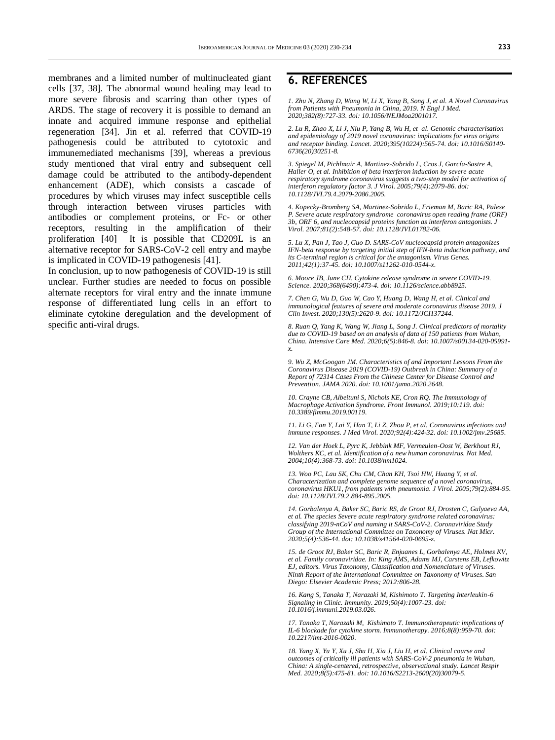membranes and a limited number of multinucleated giant cells [37, 38]. The abnormal wound healing may lead to more severe fibrosis and scarring than other types of ARDS. The stage of recovery it is possible to demand an innate and acquired immune response and epithelial regeneration [34]. Jin et al. referred that COVID-19 pathogenesis could be attributed to cytotoxic and immunemediated mechanisms [39], whereas a previous study mentioned that viral entry and subsequent cell damage could be attributed to the antibody-dependent enhancement (ADE), which consists a cascade of procedures by which viruses may infect susceptible cells through interaction between viruses particles with antibodies or complement proteins, or Fc- or other receptors, resulting in the amplification of their proliferation [40] It is possible that CD209L is an alternative receptor for SARS-CoV-2 cell entry and maybe is implicated in COVID-19 pathogenesis [41].

In conclusion, up to now pathogenesis of COVID-19 is still unclear. Further studies are needed to focus on possible alternate receptors for viral entry and the innate immune response of differentiated lung cells in an effort to eliminate cytokine deregulation and the development of specific anti-viral drugs.

### **6. REFERENCES**

*1. Zhu N, Zhang D, Wang W, Li X, Yang B, Song J, et al. A Novel Coronavirus from Patients with Pneumonia in China, 2019. N Engl J Med. 2020;382(8):727-33. doi[: 10.1056/NEJMoa2001017.](https://doi.org/10.1056/NEJMoa2001017)*

*2. Lu R, Zhao X, Li J, Niu P, Yang B, Wu H, et al. Genomic characterisation and epidemiology of 2019 novel coronavirus: implications for virus origins and receptor binding. Lancet. 2020;395(10224):565-74. doi[: 10.1016/S0140-](https://doi.org/10.1016/S0140-6736(20)30251-8) [6736\(20\)30251-8.](https://doi.org/10.1016/S0140-6736(20)30251-8)*

*3. Spiegel M, Pichlmair A, Martinez‐Sobrido L, Cros J, García-Sastre A, Haller O, et al. Inhibition of beta interferon induction by severe acute respiratory syndrome coronavirus suggests a two‐step model for activation of interferon regulatory factor 3. J Virol. 2005;79(4):2079‐86. doi: [10.1128/JVI.79.4.2079-2086.2005.](https://doi.org/10.1128/JVI.79.4.2079-2086.2005)*

*4. Kopecky‐Bromberg SA, Martinez‐Sobrido L, Frieman M, Baric RA, Palese P. Severe acute respiratory syndrome coronavirus open reading frame (ORF) 3b, ORF 6, and nucleocapsid proteins function as interferon antagonists. J Virol. 2007;81(2):548‐57. doi[: 10.1128/JVI.01782-06.](https://doi.org/10.1128/JVI.01782-06)*

*5. Lu X, Pan J, Tao J, Guo D. SARS‐CoV nucleocapsid protein antagonizes IFN‐beta response by targeting initial step of IFN‐beta induction pathway, and its C‐terminal region is critical for the antagonism. Virus Genes. 2011;42(1):37‐45. doi[: 10.1007/s11262-010-0544-x.](https://doi.org/10.1007/s11262-010-0544-x)*

*6. Moore JB, June CH. Cytokine release syndrome in severe COVID-19. Science. 2020;368(6490):473-4. doi[: 10.1126/science.abb8925.](https://doi.org/10.1126/science.abb8925)*

*7. Chen G, Wu D, Guo W, Cao Y, Huang D, Wang H, et al. Clinical and immunological features of severe and moderate coronavirus disease 2019. J Clin Invest. 2020;130(5):2620-9. doi[: 10.1172/JCI137244.](https://doi.org/10.1172/JCI137244)*

*8. Ruan Q, Yang K, Wang W, Jiang L, Song J. Clinical predictors of mortality due to COVID-19 based on an analysis of data of 150 patients from Wuhan, China. Intensive Care Med. 2020;6(5):846-8. doi[: 10.1007/s00134-020-05991](https://doi.org/10.1007/s00134-020-05991-x) [x.](https://doi.org/10.1007/s00134-020-05991-x)*

*9. Wu Z, McGoogan JM. Characteristics of and Important Lessons From the Coronavirus Disease 2019 (COVID-19) Outbreak in China: Summary of a Report of 72314 Cases From the Chinese Center for Disease Control and Prevention. JAMA 2020. doi[: 10.1001/jama.2020.2648.](https://doi.org/10.1001/jama.2020.2648)*

*10. Crayne CB, Albeituni S, Nichols KE, Cron RQ. The Immunology of Macrophage Activation Syndrome. Front Immunol. 2019;10:119. doi: [10.3389/fimmu.2019.00119.](https://doi.org/10.3389/fimmu.2019.00119)*

*11. Li G, Fan Y, Lai Y, Han T, Li Z, Zhou P, et al. Coronavirus infections and immune responses. J Med Virol. 2020;92(4):424-32. doi[: 10.1002/jmv.25685.](https://doi.org/10.1002/jmv.25685)*

*12. Van der Hoek L, Pyrc K, Jebbink MF, Vermeulen-Oost W, Berkhout RJ, Wolthers KC, et al. Identification of a new human coronavirus. Nat Med. 2004;10(4):368-73. doi[: 10.1038/nm1024.](https://doi.org/10.1038/nm1024)*

*13. Woo PC, Lau SK, Chu CM, Chan KH, Tsoi HW, Huang Y, et al. Characterization and complete genome sequence of a novel coronavirus, coronavirus HKU1, from patients with pneumonia. J Virol. 2005;79(2):884-95. doi[: 10.1128/JVI.79.2.884-895.2005.](https://doi.org/10.1128/JVI.79.2.884-895.2005)*

*14. Gorbalenya A, Baker SC, Baric RS, de Groot RJ, Drosten C, Gulyaeva AA, et al. The species Severe acute respiratory syndrome related coronavirus: classifying 2019-nCoV and naming it SARS-CoV-2. Coronaviridae Study Group of the International Committee on Taxonomy of Viruses. Nat Micr. 2020;5(4):536-44. doi[: 10.1038/s41564-020-0695-z.](https://doi.org/10.1038/s41564-020-0695-z)*

*15. de Groot RJ, Baker SC, Baric R, Enjuanes L, Gorbalenya AE, Holmes KV, et al. Family coronaviridae. In: King AMS, Adams MJ, Carstens EB, Lefkowitz EJ, editors. Virus Taxonomy, Classification and Nomenclature of Viruses. Ninth Report of the International Committee on Taxonomy of Viruses. San Diego: Elsevier Academic Press; 2012:806-28.*

*16. Kang S, Tanaka T, Narazaki M, Kishimoto T. Targeting Interleukin-6 Signaling in Clinic. Immunity. 2019;50(4):1007-23. doi: [10.1016/j.immuni.2019.03.026.](https://doi.org/10.1016/j.immuni.2019.03.026)*

*17. Tanaka T, Narazaki M, Kishimoto T. Immunotherapeutic implications of IL-6 blockade for cytokine storm. Immunotherapy. 2016;8(8):959-70. doi: [10.2217/imt-2016-0020.](https://doi.org/10.2217/imt-2016-0020)*

*18. Yang X, Yu Y, Xu J, Shu H, Xia J, Liu H, et al. Clinical course and outcomes of critically ill patients with SARS-CoV-2 pneumonia in Wuhan, China: A single-centered, retrospective, observational study. Lancet Respir Med. 2020;8(5):475-81. doi[: 10.1016/S2213-2600\(20\)30079-5.](https://doi.org/10.1016/S2213-2600(20)30079-5)*